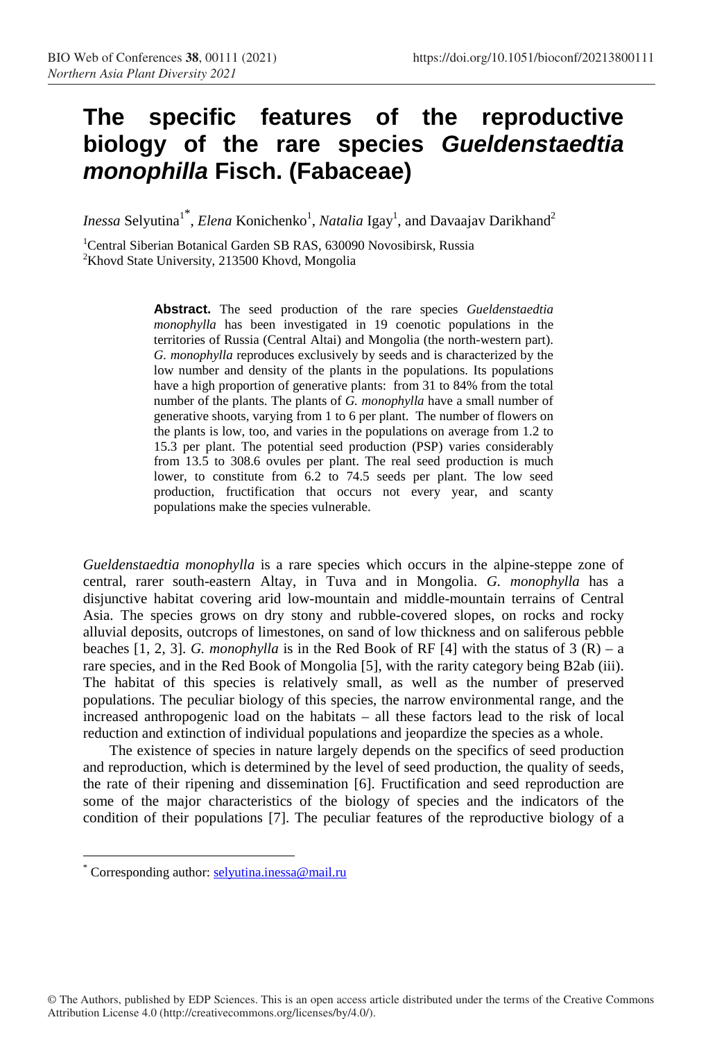## **The specific features of the reproductive biology of the rare species Gueldenstaedtia monophilla Fisch. (Fabaceae)**

*Inessa* Selyutina<sup>1\*</sup>, *Elena* Konichenko<sup>1</sup>, *Natalia* Igay<sup>1</sup>, and Davaajav Darikhand<sup>2</sup>

<sup>1</sup>Central Siberian Botanical Garden SB RAS, 630090 Novosibirsk, Russia <sup>2</sup>Khovd State University, 213500 Khovd, Mongolia

> **Abstract.** The seed production of the rare species *Gueldenstaedtia monophylla* has been investigated in 19 coenotic populations in the territories of Russia (Central Altai) and Mongolia (the north-western part). *G. monophylla* reproduces exclusively by seeds and is characterized by the low number and density of the plants in the populations. Its populations have a high proportion of generative plants: from 31 to 84% from the total number of the plants. The plants of *G. monophylla* have a small number of generative shoots, varying from 1 to 6 per plant. The number of flowers on the plants is low, too, and varies in the populations on average from 1.2 to 15.3 per plant. The potential seed production (PSP) varies considerably from 13.5 to 308.6 ovules per plant. The real seed production is much lower, to constitute from 6.2 to 74.5 seeds per plant. The low seed production, fructification that occurs not every year, and scanty populations make the species vulnerable.

*Gueldenstaedtia monophylla* is a rare species which occurs in the alpine-steppe zone of central, rarer south-eastern Altay, in Tuva and in Mongolia. *G. monophylla* has a disjunctive habitat covering arid low-mountain and middle-mountain terrains of Central Asia. The species grows on dry stony and rubble-covered slopes, on rocks and rocky alluvial deposits, outcrops of limestones, on sand of low thickness and on saliferous pebble beaches  $[1, 2, 3]$ . *G. monophylla* is in the Red Book of RF  $[4]$  with the status of 3  $(R) - a$ rare species, and in the Red Book of Mongolia [5], with the rarity category being B2ab (iii). The habitat of this species is relatively small, as well as the number of preserved populations. The peculiar biology of this species, the narrow environmental range, and the increased anthropogenic load on the habitats – all these factors lead to the risk of local reduction and extinction of individual populations and jeopardize the species as a whole.

The existence of species in nature largely depends on the specifics of seed production and reproduction, which is determined by the level of seed production, the quality of seeds, the rate of their ripening and dissemination [6]. Fructification and seed reproduction are some of the major characteristics of the biology of species and the indicators of the condition of their populations [7]. The peculiar features of the reproductive biology of a

 $\overline{a}$ 

<sup>\*</sup> Corresponding author: selyutina.inessa@mail.ru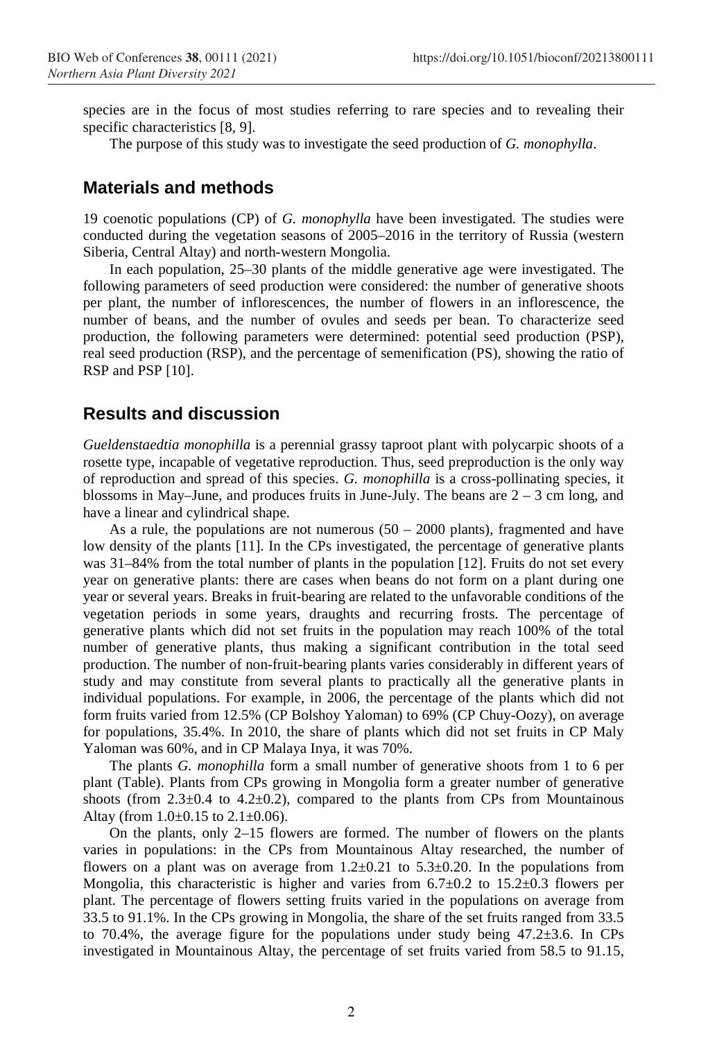species are in the focus of most studies referring to rare species and to revealing their specific characteristics [8, 9].

The purpose of this study was to investigate the seed production of *G. monophylla*.

## **Materials and methods**

19 coenotic populations (CP) of *G. monophylla* have been investigated*.* The studies were conducted during the vegetation seasons of 2005–2016 in the territory of Russia (western Siberia, Central Altay) and north-western Mongolia.

In each population, 25–30 plants of the middle generative age were investigated. The following parameters of seed production were considered: the number of generative shoots per plant, the number of inflorescences, the number of flowers in an inflorescence, the number of beans, and the number of ovules and seeds per bean. To characterize seed production, the following parameters were determined: potential seed production (PSP), real seed production (RSP), and the percentage of semenification (PS), showing the ratio of RSP and PSP [10].

## **Results and discussion**

*Gueldenstaedtia monophilla* is a perennial grassy taproot plant with polycarpic shoots of a rosette type, incapable of vegetative reproduction. Thus, seed preproduction is the only way of reproduction and spread of this species. *G. monophilla* is a cross-pollinating species, it blossoms in May–June, and produces fruits in June-July. The beans are  $2 - 3$  cm long, and have a linear and cylindrical shape.

As a rule, the populations are not numerous  $(50 - 2000$  plants), fragmented and have low density of the plants [11]. In the CPs investigated, the percentage of generative plants was 31–84% from the total number of plants in the population [12]. Fruits do not set every year on generative plants: there are cases when beans do not form on a plant during one year or several years. Breaks in fruit-bearing are related to the unfavorable conditions of the vegetation periods in some years, draughts and recurring frosts. The percentage of generative plants which did not set fruits in the population may reach 100% of the total number of generative plants, thus making a significant contribution in the total seed production. The number of non-fruit-bearing plants varies considerably in different years of study and may constitute from several plants to practically all the generative plants in individual populations. For example, in 2006, the percentage of the plants which did not form fruits varied from 12.5% (CP Bolshoy Yaloman) to 69% (CP Chuy-Oozy), on average for populations, 35.4%. In 2010, the share of plants which did not set fruits in CP Maly Yaloman was 60%, and in CP Malaya Inya, it was 70%.

The plants *G. monophilla* form a small number of generative shoots from 1 to 6 per plant (Table). Plants from CPs growing in Mongolia form a greater number of generative shoots (from  $2.3\pm0.4$  to  $4.2\pm0.2$ ), compared to the plants from CPs from Mountainous Altay (from  $1.0\pm0.15$  to  $2.1\pm0.06$ ).

On the plants, only 2–15 flowers are formed. The number of flowers on the plants varies in populations: in the CPs from Mountainous Altay researched, the number of flowers on a plant was on average from  $1.2\pm0.21$  to  $5.3\pm0.20$ . In the populations from Mongolia, this characteristic is higher and varies from  $6.7\pm0.2$  to  $15.2\pm0.3$  flowers per plant. The percentage of flowers setting fruits varied in the populations on average from 33.5 to 91.1%. In the CPs growing in Mongolia, the share of the set fruits ranged from 33.5 to 70.4%, the average figure for the populations under study being  $47.2 \pm 3.6$ . In CPs investigated in Mountainous Altay, the percentage of set fruits varied from 58.5 to 91.15,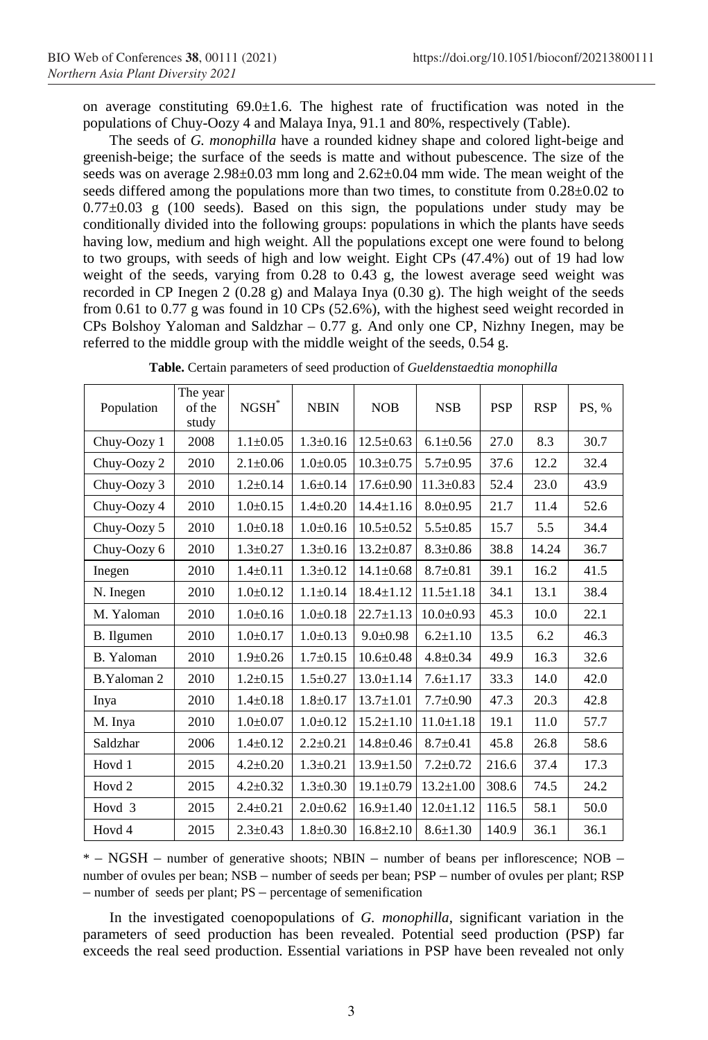on average constituting  $69.0 \pm 1.6$ . The highest rate of fructification was noted in the populations of Chuy-Oozy 4 and Malaya Inya, 91.1 and 80%, respectively (Table).

The seeds of *G. monophilla* have a rounded kidney shape and colored light-beige and greenish-beige; the surface of the seeds is matte and without pubescence. The size of the seeds was on average 2.98±0.03 mm long and 2.62±0.04 mm wide. The mean weight of the seeds differed among the populations more than two times, to constitute from  $0.28\pm0.02$  to  $0.77\pm0.03$  g (100 seeds). Based on this sign, the populations under study may be conditionally divided into the following groups: populations in which the plants have seeds having low, medium and high weight. All the populations except one were found to belong to two groups, with seeds of high and low weight. Eight CPs (47.4%) out of 19 had low weight of the seeds, varying from 0.28 to 0.43 g, the lowest average seed weight was recorded in CP Inegen 2 (0.28 g) and Malaya Inya (0.30 g). The high weight of the seeds from 0.61 to 0.77 g was found in 10 CPs (52.6%), with the highest seed weight recorded in CPs Bolshoy Yaloman and Saldzhar – 0.77 g. And only one CP, Nizhny Inegen, may be referred to the middle group with the middle weight of the seeds, 0.54 g.

| Population        | The year<br>of the<br>study | $NGSH^*$       | <b>NBIN</b>    | <b>NOB</b>      | <b>NSB</b>      | <b>PSP</b> | <b>RSP</b> | PS, % |
|-------------------|-----------------------------|----------------|----------------|-----------------|-----------------|------------|------------|-------|
| Chuy-Oozy 1       | 2008                        | $1.1 \pm 0.05$ | $1.3 \pm 0.16$ | $12.5 \pm 0.63$ | $6.1 \pm 0.56$  | 27.0       | 8.3        | 30.7  |
| Chuy-Oozy 2       | 2010                        | $2.1 \pm 0.06$ | $1.0+0.05$     | $10.3 \pm 0.75$ | $5.7 \pm 0.95$  | 37.6       | 12.2       | 32.4  |
| Chuy-Oozy 3       | 2010                        | $1.2 \pm 0.14$ | $1.6 \pm 0.14$ | $17.6 \pm 0.90$ | $11.3 \pm 0.83$ | 52.4       | 23.0       | 43.9  |
| Chuy-Oozy 4       | 2010                        | $1.0+0.15$     | $1.4 \pm 0.20$ | $14.4 \pm 1.16$ | $8.0+0.95$      | 21.7       | 11.4       | 52.6  |
| Chuy-Oozy 5       | 2010                        | $1.0+0.18$     | $1.0+0.16$     | $10.5 \pm 0.52$ | $5.5 \pm 0.85$  | 15.7       | 5.5        | 34.4  |
| Chuy-Oozy 6       | 2010                        | $1.3 \pm 0.27$ | $1.3 \pm 0.16$ | $13.2 \pm 0.87$ | $8.3 \pm 0.86$  | 38.8       | 14.24      | 36.7  |
| Inegen            | 2010                        | $1.4 \pm 0.11$ | $1.3 \pm 0.12$ | $14.1 \pm 0.68$ | $8.7 \pm 0.81$  | 39.1       | 16.2       | 41.5  |
| N. Inegen         | 2010                        | $1.0 \pm 0.12$ | $1.1 \pm 0.14$ | $18.4 \pm 1.12$ | $11.5 \pm 1.18$ | 34.1       | 13.1       | 38.4  |
| M. Yaloman        | 2010                        | $1.0+0.16$     | $1.0+0.18$     | $22.7 \pm 1.13$ | $10.0 \pm 0.93$ | 45.3       | 10.0       | 22.1  |
| B. Ilgumen        | 2010                        | $1.0 \pm 0.17$ | $1.0+0.13$     | $9.0 \pm 0.98$  | $6.2 \pm 1.10$  | 13.5       | 6.2        | 46.3  |
| B. Yaloman        | 2010                        | $1.9 + 0.26$   | $1.7 \pm 0.15$ | $10.6 \pm 0.48$ | $4.8 \pm 0.34$  | 49.9       | 16.3       | 32.6  |
| B.Yaloman 2       | 2010                        | $1.2 \pm 0.15$ | $1.5 \pm 0.27$ | $13.0 \pm 1.14$ | $7.6 \pm 1.17$  | 33.3       | 14.0       | 42.0  |
| Inya              | 2010                        | $1.4 \pm 0.18$ | $1.8 \pm 0.17$ | $13.7 \pm 1.01$ | $7.7 \pm 0.90$  | 47.3       | 20.3       | 42.8  |
| M. Inya           | 2010                        | $1.0 \pm 0.07$ | $1.0+0.12$     | $15.2 \pm 1.10$ | $11.0 \pm 1.18$ | 19.1       | 11.0       | 57.7  |
| Saldzhar          | 2006                        | $1.4 \pm 0.12$ | $2.2 \pm 0.21$ | $14.8 \pm 0.46$ | $8.7 \pm 0.41$  | 45.8       | 26.8       | 58.6  |
| Hovd 1            | 2015                        | $4.2 \pm 0.20$ | $1.3 \pm 0.21$ | $13.9 \pm 1.50$ | $7.2 \pm 0.72$  | 216.6      | 37.4       | 17.3  |
| Hovd <sub>2</sub> | 2015                        | $4.2 \pm 0.32$ | $1.3 \pm 0.30$ | $19.1 \pm 0.79$ | $13.2 \pm 1.00$ | 308.6      | 74.5       | 24.2  |
| Hovd <sub>3</sub> | 2015                        | $2.4 \pm 0.21$ | $2.0+0.62$     | $16.9 \pm 1.40$ | $12.0 \pm 1.12$ | 116.5      | 58.1       | 50.0  |
| Hovd 4            | 2015                        | $2.3 \pm 0.43$ | $1.8 \pm 0.30$ | $16.8 \pm 2.10$ | $8.6 \pm 1.30$  | 140.9      | 36.1       | 36.1  |

**Table.** Certain parameters of seed production of *Gueldenstaedtia monophilla* 

\* – NGSH – number of generative shoots; NBIN – number of beans per inflorescence; NOB – number of ovules per bean; NSB – number of seeds per bean; PSP – number of ovules per plant; RSP – number of seeds per plant; PS – percentage of semenification

In the investigated coenopopulations of *G. monophilla,* significant variation in the parameters of seed production has been revealed. Potential seed production (PSP) far exceeds the real seed production. Essential variations in PSP have been revealed not only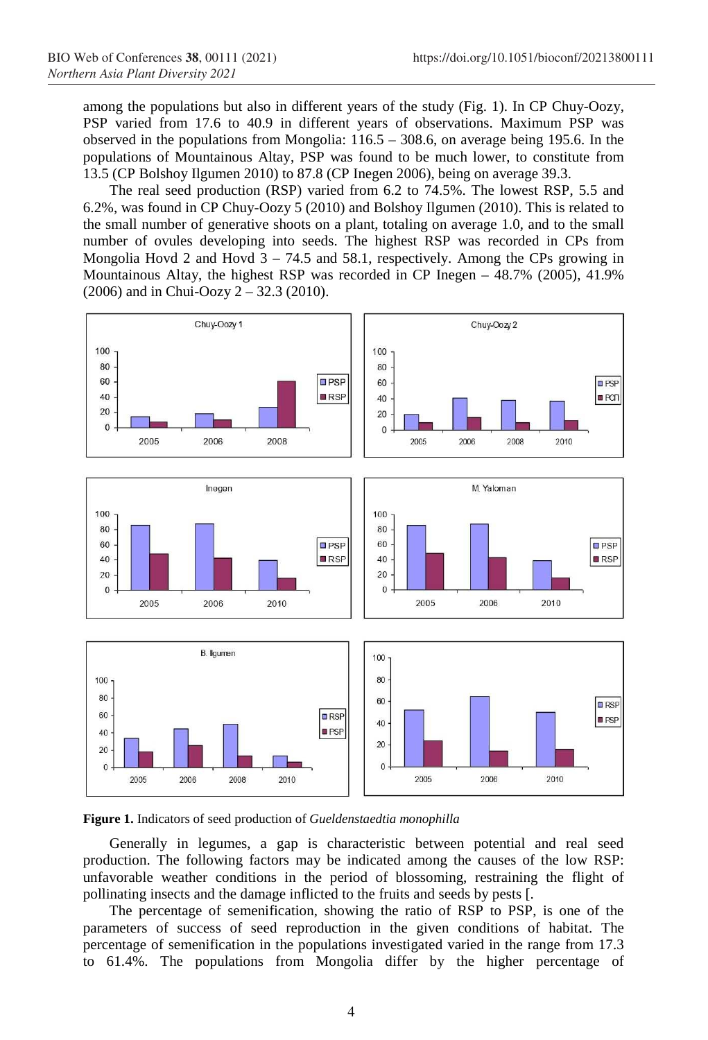among the populations but also in different years of the study (Fig. 1). In CP Chuy-Oozy, PSP varied from 17.6 to 40.9 in different years of observations. Maximum PSP was observed in the populations from Mongolia: 116.5 – 308.6, on average being 195.6. In the populations of Mountainous Altay, PSP was found to be much lower, to constitute from 13.5 (CP Bolshoy Ilgumen 2010) to 87.8 (CP Inegen 2006), being on average 39.3.

The real seed production (RSP) varied from 6.2 to 74.5%. The lowest RSP, 5.5 and 6.2%, was found in CP Chuy-Oozy 5 (2010) and Bolshoy Ilgumen (2010). This is related to the small number of generative shoots on a plant, totaling on average 1.0, and to the small number of ovules developing into seeds. The highest RSP was recorded in CPs from Mongolia Hovd 2 and Hovd  $3 - 74.5$  and 58.1, respectively. Among the CPs growing in Mountainous Altay, the highest RSP was recorded in CP Inegen – 48.7% (2005), 41.9% (2006) and in Chui-Oozy 2 – 32.3 (2010).





Generally in legumes, a gap is characteristic between potential and real seed production. The following factors may be indicated among the causes of the low RSP: unfavorable weather conditions in the period of blossoming, restraining the flight of pollinating insects and the damage inflicted to the fruits and seeds by pests [.

The percentage of semenification, showing the ratio of RSP to PSP, is one of the parameters of success of seed reproduction in the given conditions of habitat. The percentage of semenification in the populations investigated varied in the range from 17.3 to 61.4%. The populations from Mongolia differ by the higher percentage of